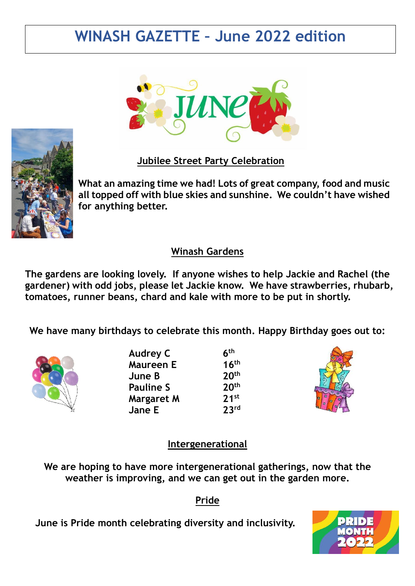# **WINASH GAZETTE – June 2022 edition**



### **Jubilee Street Party Celebration**

**What an amazing time we had! Lots of great company, food and music all topped off with blue skies and sunshine. We couldn't have wished for anything better.**

#### **Winash Gardens**

**The gardens are looking lovely. If anyone wishes to help Jackie and Rachel (the gardener) with odd jobs, please let Jackie know. We have strawberries, rhubarb, tomatoes, runner beans, chard and kale with more to be put in shortly.**

**We have many birthdays to celebrate this month. Happy Birthday goes out to:**



**Audrey C 6 Maureen E 16th June B 20th Pauline S 20th Margaret M 21st Jane E 23rd**

**th**



### **Intergenerational**

**We are hoping to have more intergenerational gatherings, now that the weather is improving, and we can get out in the garden more.**

#### **Pride**

**June is Pride month celebrating diversity and inclusivity.**